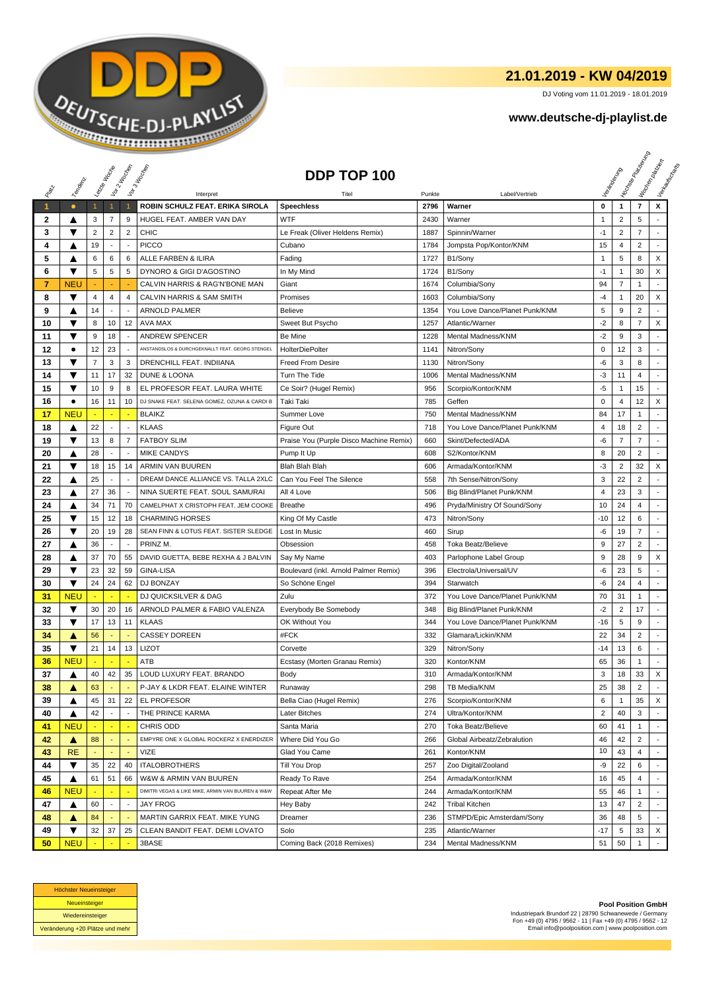

## **21.01.2019 - KW 04/2019**

DJ Voting vom 11.01.2019 - 18.01.2019

## **www.deutsche-dj-playlist.de**

|              |            |                | Leizie Hacope            | Vor 2 Noon               | Vor 3 Indianap                                    | DDP TOP 100                             |        |                                |                |                | <b>Licitorial Processing Capital</b> | Workenberg<br>Verkouwerd arts |
|--------------|------------|----------------|--------------------------|--------------------------|---------------------------------------------------|-----------------------------------------|--------|--------------------------------|----------------|----------------|--------------------------------------|-------------------------------|
|              | Temporal   |                |                          |                          |                                                   |                                         |        |                                |                |                |                                      |                               |
|              |            |                |                          |                          | Interpret                                         | Titel                                   | Punkte | Label/Vertrieb                 |                |                |                                      |                               |
| $\mathbf{1}$ | $\bullet$  | $\mathbf{1}$   | $\mathbf{1}$             | $\overline{1}$           | ROBIN SCHULZ FEAT. ERIKA SIROLA                   | <b>Speechless</b>                       | 2796   | Warner                         | 0              | $\mathbf{1}$   | $\overline{7}$                       | X                             |
| 2            | ▲          | 3              | 7                        | 9                        | HUGEL FEAT. AMBER VAN DAY                         | <b>WTF</b>                              | 2430   | Warner                         | $\mathbf{1}$   | $\overline{2}$ | 5                                    |                               |
| 3            | ▼          | $\sqrt{2}$     | $\overline{2}$           | $\overline{2}$           | <b>CHIC</b>                                       | Le Freak (Oliver Heldens Remix)         | 1887   | Spinnin/Warner                 | $-1$           | $\overline{2}$ | $\overline{7}$                       |                               |
| 4            | ▲          | 19             | $\blacksquare$           | $\overline{a}$           | <b>PICCO</b>                                      | Cubano                                  | 1784   | Jompsta Pop/Kontor/KNM         | 15             | $\overline{4}$ | $\overline{2}$                       |                               |
| 5            | A          | 6              | 6                        | 6                        | ALLE FARBEN & ILIRA                               | Fading                                  | 1727   | B1/Sony                        | 1              | 5              | 8                                    | X                             |
| 6            | ▼          | 5              | 5                        | 5                        | DYNORO & GIGI D'AGOSTINO                          | In My Mind                              | 1724   | B1/Sony                        | $-1$           | $\mathbf{1}$   | 30                                   | X                             |
| 7            | <b>NEU</b> |                |                          |                          | CALVIN HARRIS & RAG'N'BONE MAN                    | Giant                                   | 1674   | Columbia/Sony                  | 94             | $\overline{7}$ | $\mathbf{1}$                         |                               |
| 8            | ▼          | 4              | 4                        | $\overline{4}$           | CALVIN HARRIS & SAM SMITH                         | Promises                                | 1603   | Columbia/Sony                  | -4             | $\mathbf{1}$   | 20                                   | X                             |
| 9            | ▲          | 14             | $\blacksquare$           |                          | <b>ARNOLD PALMER</b>                              | <b>Believe</b>                          | 1354   | You Love Dance/Planet Punk/KNM | 5              | 9              | $\overline{2}$                       |                               |
| 10           | ▼          | 8              | 10                       | 12                       | <b>AVA MAX</b>                                    | Sweet But Psycho                        | 1257   | Atlantic/Warner                | $-2$           | 8              | $\overline{7}$                       | X                             |
| 11           | ▼          | 9              | 18                       | $\sim$                   | <b>ANDREW SPENCER</b>                             | Be Mine                                 | 1228   | Mental Madness/KNM             | $-2$           | 9              | 3                                    | $\sim$                        |
| 12           | $\bullet$  | 12             | 23                       | $\overline{a}$           | ANSTANDSLOS & DURCHGEKNALLT FEAT. GEORG STENGEL   | <b>HolterDiePolter</b>                  | 1141   | Nitron/Sony                    | 0              | 12             | 3                                    |                               |
| 13           | ▼          | $\overline{7}$ | 3                        | 3                        | DRENCHILL FEAT. INDIIANA                          | <b>Freed From Desire</b>                | 1130   | Nitron/Sony                    | -6             | 3              | 8                                    |                               |
| 14           | ▼          | 11             | 17                       | 32                       | DUNE & LOONA                                      | Turn The Tide                           | 1006   | Mental Madness/KNM             | -3             | 11             | 4                                    | ÷                             |
| 15           | ▼          | 10             | 9                        | 8                        | EL PROFESOR FEAT. LAURA WHITE                     | Ce Soir? (Hugel Remix)                  | 956    | Scorpio/Kontor/KNM             | $-5$           | $\mathbf{1}$   | 15                                   | $\overline{a}$                |
| 16           | ٠          | 16             | 11                       | 10                       | DJ SNAKE FEAT. SELENA GOMEZ, OZUNA & CARDI B      | Taki Taki                               | 785    | Geffen                         | 0              | 4              | 12                                   | X                             |
| 17           | <b>NEU</b> |                |                          |                          | <b>BLAIKZ</b>                                     | Summer Love                             | 750    | Mental Madness/KNM             | 84             | 17             | 1                                    |                               |
| 18           | ▲          | 22             | $\sim$                   | $\overline{\phantom{a}}$ | <b>KLAAS</b>                                      | Figure Out                              | 718    | You Love Dance/Planet Punk/KNM | 4              | 18             | $\overline{c}$                       |                               |
| 19           | ▼          | 13             | 8                        | $\overline{7}$           | <b>FATBOY SLIM</b>                                | Praise You (Purple Disco Machine Remix) | 660    | Skint/Defected/ADA             | -6             | 7              | $\overline{7}$                       | $\sim$                        |
| 20           | ▲          | 28             | $\blacksquare$           | $\overline{\phantom{a}}$ | <b>MIKE CANDYS</b>                                | Pump It Up                              | 608    | S2/Kontor/KNM                  | 8              | 20             | $\overline{2}$                       | $\mathcal{L}$                 |
| 21           | ▼          | 18             | 15                       | 14                       | ARMIN VAN BUUREN                                  | Blah Blah Blah                          | 606    | Armada/Kontor/KNM              | -3             | $\overline{2}$ | 32                                   | X                             |
| 22           | ▲          | 25             | $\overline{\phantom{a}}$ |                          | DREAM DANCE ALLIANCE VS. TALLA 2XLC               | Can You Feel The Silence                | 558    | 7th Sense/Nitron/Sony          | 3              | 22             | $\overline{2}$                       |                               |
| 23           | ▲          | 27             | 36                       | $\overline{\phantom{a}}$ | NINA SUERTE FEAT. SOUL SAMURAI                    | All 4 Love                              | 506    | Big Blind/Planet Punk/KNM      | 4              | 23             | 3                                    |                               |
| 24           | ▲          | 34             | 71                       | 70                       | CAMELPHAT X CRISTOPH FEAT. JEM COOKE              | <b>Breathe</b>                          | 496    | Pryda/Ministry Of Sound/Sony   | 10             | 24             | 4                                    |                               |
| 25           | ▼          | 15             | 12                       | 18                       | <b>CHARMING HORSES</b>                            | King Of My Castle                       | 473    | Nitron/Sony                    | -10            | 12             | 6                                    |                               |
| 26           | ▼          | 20             | 19                       | 28                       | SEAN FINN & LOTUS FEAT. SISTER SLEDGE             | Lost In Music                           | 460    | Sirup                          | -6             | 19             | $\overline{7}$                       | ÷                             |
| 27           | ▲          | 36             | $\overline{\phantom{a}}$ |                          | PRINZ M.                                          | Obsession                               | 458    | <b>Toka Beatz/Believe</b>      | 9              | 27             | $\overline{2}$                       | $\overline{\phantom{a}}$      |
| 28           | ▲          | 37             | 70                       | 55                       | DAVID GUETTA, BEBE REXHA & J BALVIN               | Say My Name                             | 403    | Parlophone Label Group         | 9              | 28             | 9                                    | X                             |
| 29           | ▼          | 23             | 32                       | 59                       | <b>GINA-LISA</b>                                  | Boulevard (inkl. Arnold Palmer Remix)   | 396    | Electrola/Universal/UV         | -6             | 23             | 5                                    |                               |
| 30           | ▼          | 24             | 24                       | 62                       | DJ BONZAY                                         | So Schöne Engel                         | 394    | Starwatch                      | -6             | 24             | 4                                    |                               |
| 31           | <b>NEU</b> |                | ÷                        | ÷.                       | DJ QUICKSILVER & DAG                              | Zulu                                    | 372    | You Love Dance/Planet Punk/KNM | 70             | 31             | 1                                    |                               |
| 32           | ▼          | 30             | 20                       | 16                       | ARNOLD PALMER & FABIO VALENZA                     | Everybody Be Somebody                   | 348    | Big Blind/Planet Punk/KNM      | $-2$           | 2              | 17                                   | $\sim$                        |
| 33           | ▼          | 17             | 13                       | 11                       | <b>KLAAS</b>                                      | OK Without You                          | 344    | You Love Dance/Planet Punk/KNM | -16            | 5              | 9                                    | ÷                             |
| 34           | ▲          | 56             | $\blacksquare$           |                          | <b>CASSEY DOREEN</b>                              | #FCK                                    | 332    | Glamara/Lickin/KNM             | 22             | 34             | $\overline{c}$                       | ÷                             |
| 35           | ▼          | 21             | 14                       | 13                       | <b>LIZOT</b>                                      | Corvette                                | 329    | Nitron/Sony                    | -14            | 13             | 6                                    |                               |
| 36           | <b>NEU</b> |                |                          |                          | ATB                                               | Ecstasy (Morten Granau Remix)           | 320    | Kontor/KNM                     | 65             | 36             | 1                                    |                               |
| 37           | ▲          | 40             | 42                       | 35                       | LOUD LUXURY FEAT. BRANDO                          | Body                                    | 310    | Armada/Kontor/KNM              | 3              | 18             | 33                                   | X                             |
| 38           | ▲          | 63             |                          |                          | P-JAY & LKDR FEAT. ELAINE WINTER                  | Runaway                                 | 298    | TB Media/KNM                   | 25             | 38             | 2                                    |                               |
| 39           | ▲          | 45             | 31                       | 22                       | EL PROFESOR                                       | Bella Ciao (Hugel Remix)                | 276    | Scorpio/Kontor/KNM             | 6              | $\mathbf{1}$   | 35                                   | X                             |
| 40           | ▲          | 42             |                          | $\overline{\phantom{a}}$ | THE PRINCE KARMA                                  | Later Bitches                           | 274    | Ultra/Kontor/KNM               | $\overline{c}$ | 40             | 3                                    |                               |
| 41           | <b>NEU</b> |                | Ξ                        | $\overline{\phantom{a}}$ | CHRIS ODD                                         | Santa Maria                             | 270    | Toka Beatz/Believe             | 60             | 41             | $\mathbf{1}$                         |                               |
| 42           | ▲          | 88             |                          |                          | EMPYRE ONE X GLOBAL ROCKERZ X ENERDIZER           | Where Did You Go                        | 266    | Global Airbeatz/Zebralution    | 46             | 42             | 2                                    |                               |
| 43           | <b>RE</b>  |                |                          |                          | VIZE                                              | Glad You Came                           | 261    | Kontor/KNM                     | 10             | 43             | 4                                    |                               |
| 44           | ▼          | 35             | 22                       | 40                       | <b>ITALOBROTHERS</b>                              | Till You Drop                           | 257    | Zoo Digital/Zooland            | -9             | 22             | 6                                    |                               |
| 45           | ▲          | 61             | 51                       | 66                       | W&W & ARMIN VAN BUUREN                            | Ready To Rave                           | 254    | Armada/Kontor/KNM              | 16             | 45             | 4                                    |                               |
| 46           | <b>NEU</b> |                |                          |                          | DIMITRI VEGAS & LIKE MIKE, ARMIN VAN BUUREN & W&W | Repeat After Me                         | 244    | Armada/Kontor/KNM              | 55             | 46             | 1                                    | $\sim$                        |
| 47           | ▲          | 60             | $\blacksquare$           | $\overline{\phantom{a}}$ | <b>JAY FROG</b>                                   | Hey Baby                                | 242    | <b>Tribal Kitchen</b>          | 13             | 47             | 2                                    |                               |
| 48           | ▲          | 84             |                          |                          | MARTIN GARRIX FEAT. MIKE YUNG                     | Dreamer                                 | 236    | STMPD/Epic Amsterdam/Sony      | 36             | 48             | 5                                    |                               |
| 49           | ▼          | 32             | 37                       | 25                       | CLEAN BANDIT FEAT. DEMI LOVATO                    | Solo                                    | 235    | Atlantic/Warner                | -17            | 5              | 33                                   | X                             |
| 50           | <b>NEU</b> |                |                          |                          | 3BASE                                             | Coming Back (2018 Remixes)              | 234    | Mental Madness/KNM             | 51             | 50             | $\mathbf{1}$                         |                               |



**Pool Position GmbH** Industriepark Brundorf 22 | 28790 Schwanewede / Germany Fon +49 (0) 4795 / 9562 - 11 | Fax +49 (0) 4795 / 9562 - 12 Email info@poolposition.com | www.poolposition.com